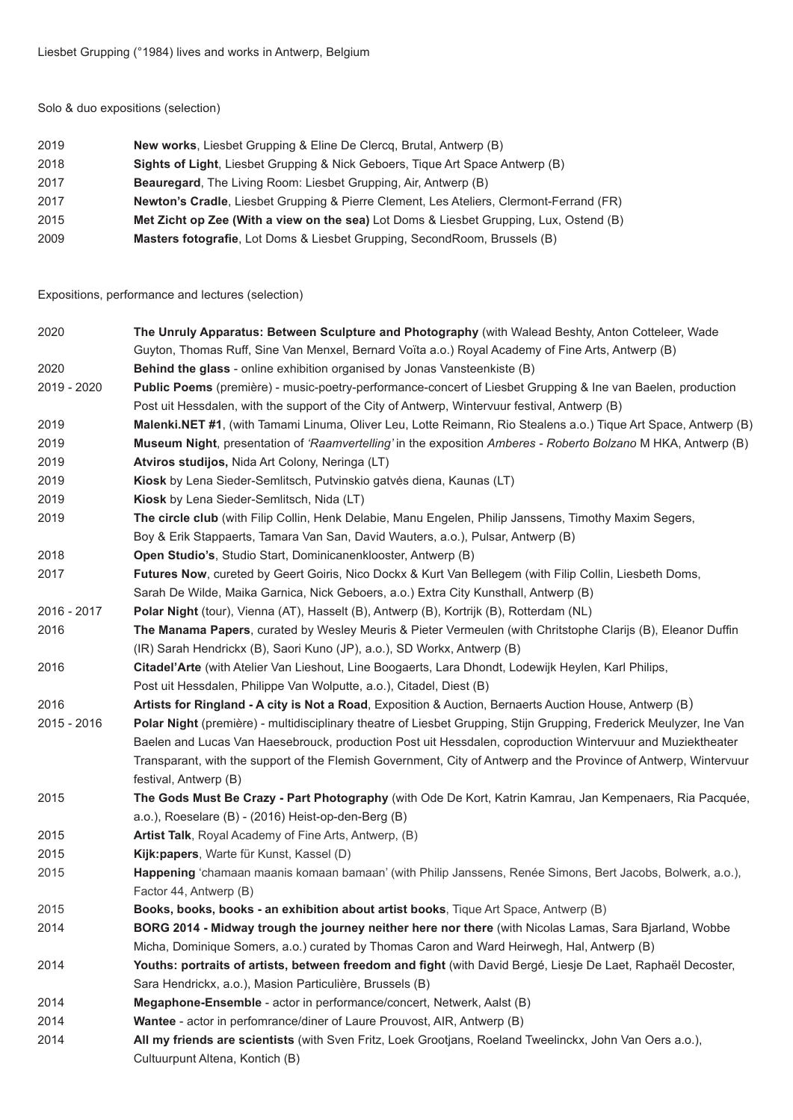#### Solo & duo expositions (selection)

| 2019 | <b>New works, Liesbet Grupping &amp; Eline De Clercg, Brutal, Antwerp (B)</b>                  |
|------|------------------------------------------------------------------------------------------------|
| 2018 | <b>Sights of Light, Liesbet Grupping &amp; Nick Geboers, Tigue Art Space Antwerp (B)</b>       |
| 2017 | Beauregard, The Living Room: Liesbet Grupping, Air, Antwerp (B)                                |
| 2017 | <b>Newton's Cradle.</b> Liesbet Grupping & Pierre Clement, Les Ateliers, Clermont-Ferrand (FR) |
| 2015 | Met Zicht op Zee (With a view on the sea) Lot Doms & Liesbet Grupping, Lux, Ostend (B)         |
| 2009 | Masters fotografie, Lot Doms & Liesbet Grupping, SecondRoom, Brussels (B)                      |

Expositions, performance and lectures (selection)

| 2020        | The Unruly Apparatus: Between Sculpture and Photography (with Walead Beshty, Anton Cotteleer, Wade                  |
|-------------|---------------------------------------------------------------------------------------------------------------------|
|             | Guyton, Thomas Ruff, Sine Van Menxel, Bernard Voïta a.o.) Royal Academy of Fine Arts, Antwerp (B)                   |
| 2020        | Behind the glass - online exhibition organised by Jonas Vansteenkiste (B)                                           |
| 2019 - 2020 | Public Poems (première) - music-poetry-performance-concert of Liesbet Grupping & Ine van Baelen, production         |
|             | Post uit Hessdalen, with the support of the City of Antwerp, Wintervuur festival, Antwerp (B)                       |
| 2019        | Malenki.NET #1, (with Tamami Linuma, Oliver Leu, Lotte Reimann, Rio Stealens a.o.) Tique Art Space, Antwerp (B)     |
| 2019        | Museum Night, presentation of 'Raamvertelling' in the exposition Amberes - Roberto Bolzano M HKA, Antwerp (B)       |
| 2019        | Atviros studijos, Nida Art Colony, Neringa (LT)                                                                     |
| 2019        | Kiosk by Lena Sieder-Semlitsch, Putvinskio gatvės diena, Kaunas (LT)                                                |
| 2019        | Kiosk by Lena Sieder-Semlitsch, Nida (LT)                                                                           |
| 2019        | The circle club (with Filip Collin, Henk Delabie, Manu Engelen, Philip Janssens, Timothy Maxim Segers,              |
|             | Boy & Erik Stappaerts, Tamara Van San, David Wauters, a.o.), Pulsar, Antwerp (B)                                    |
| 2018        | Open Studio's, Studio Start, Dominicanenklooster, Antwerp (B)                                                       |
| 2017        | Futures Now, cureted by Geert Goiris, Nico Dockx & Kurt Van Bellegem (with Filip Collin, Liesbeth Doms,             |
|             | Sarah De Wilde, Maika Garnica, Nick Geboers, a.o.) Extra City Kunsthall, Antwerp (B)                                |
| 2016 - 2017 | Polar Night (tour), Vienna (AT), Hasselt (B), Antwerp (B), Kortrijk (B), Rotterdam (NL)                             |
| 2016        | The Manama Papers, curated by Wesley Meuris & Pieter Vermeulen (with Chritstophe Clarijs (B), Eleanor Duffin        |
|             | (IR) Sarah Hendrickx (B), Saori Kuno (JP), a.o.), SD Workx, Antwerp (B)                                             |
| 2016        | Citadel'Arte (with Atelier Van Lieshout, Line Boogaerts, Lara Dhondt, Lodewijk Heylen, Karl Philips,                |
|             | Post uit Hessdalen, Philippe Van Wolputte, a.o.), Citadel, Diest (B)                                                |
| 2016        | Artists for Ringland - A city is Not a Road, Exposition & Auction, Bernaerts Auction House, Antwerp (B)             |
| 2015 - 2016 | Polar Night (première) - multidisciplinary theatre of Liesbet Grupping, Stijn Grupping, Frederick Meulyzer, Ine Van |
|             | Baelen and Lucas Van Haesebrouck, production Post uit Hessdalen, coproduction Wintervuur and Muziektheater          |
|             | Transparant, with the support of the Flemish Government, City of Antwerp and the Province of Antwerp, Wintervuur    |
|             | festival, Antwerp (B)                                                                                               |
| 2015        | The Gods Must Be Crazy - Part Photography (with Ode De Kort, Katrin Kamrau, Jan Kempenaers, Ria Pacquée,            |
|             | a.o.), Roeselare (B) - (2016) Heist-op-den-Berg (B)                                                                 |
| 2015        | Artist Talk, Royal Academy of Fine Arts, Antwerp, (B)                                                               |
| 2015        | Kijk: papers, Warte für Kunst, Kassel (D)                                                                           |
| 2015        | Happening 'chamaan maanis komaan bamaan' (with Philip Janssens, Renée Simons, Bert Jacobs, Bolwerk, a.o.),          |
|             | Factor 44, Antwerp (B)                                                                                              |
| 2015        | Books, books, books - an exhibition about artist books, Tique Art Space, Antwerp (B)                                |
| 2014        | BORG 2014 - Midway trough the journey neither here nor there (with Nicolas Lamas, Sara Bjarland, Wobbe              |
|             | Micha, Dominique Somers, a.o.) curated by Thomas Caron and Ward Heirwegh, Hal, Antwerp (B)                          |
| 2014        | Youths: portraits of artists, between freedom and fight (with David Bergé, Liesje De Laet, Raphaël Decoster,        |
|             | Sara Hendrickx, a.o.), Masion Particulière, Brussels (B)                                                            |
| 2014        | Megaphone-Ensemble - actor in performance/concert, Netwerk, Aalst (B)                                               |
| 2014        | Wantee - actor in perfomrance/diner of Laure Prouvost, AIR, Antwerp (B)                                             |
| 2014        | All my friends are scientists (with Sven Fritz, Loek Grootjans, Roeland Tweelinckx, John Van Oers a.o.),            |
|             | Cultuurpunt Altena, Kontich (B)                                                                                     |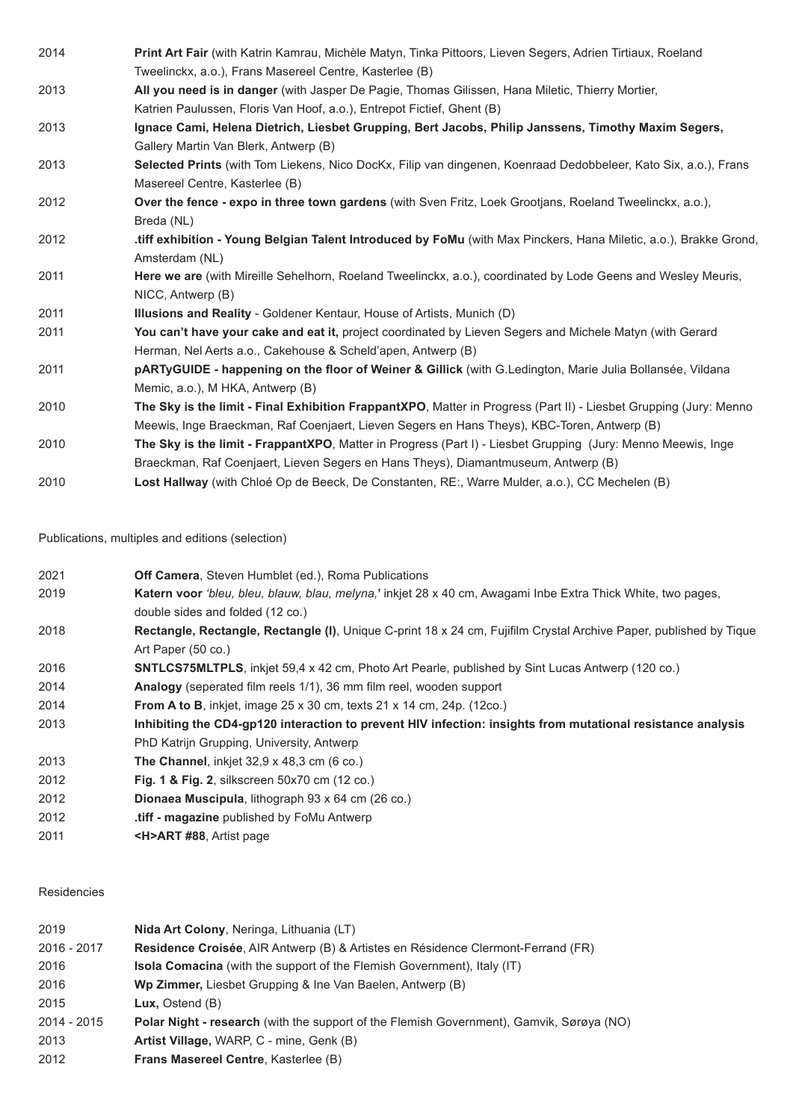| 2014 | Print Art Fair (with Katrin Kamrau, Michèle Matyn, Tinka Pittoors, Lieven Segers, Adrien Tirtiaux, Roeland        |
|------|-------------------------------------------------------------------------------------------------------------------|
|      | Tweelinckx, a.o.), Frans Masereel Centre, Kasterlee (B)                                                           |
| 2013 | All you need is in danger (with Jasper De Pagie, Thomas Gilissen, Hana Miletic, Thierry Mortier,                  |
|      | Katrien Paulussen, Floris Van Hoof, a.o.), Entrepot Fictief, Ghent (B)                                            |
| 2013 | Ignace Cami, Helena Dietrich, Liesbet Grupping, Bert Jacobs, Philip Janssens, Timothy Maxim Segers,               |
|      | Gallery Martin Van Blerk, Antwerp (B)                                                                             |
| 2013 | Selected Prints (with Tom Liekens, Nico DocKx, Filip van dingenen, Koenraad Dedobbeleer, Kato Six, a.o.), Frans   |
|      | Masereel Centre, Kasterlee (B)                                                                                    |
| 2012 | Over the fence - expo in three town gardens (with Sven Fritz, Loek Grootjans, Roeland Tweelinckx, a.o.),          |
|      | Breda (NL)                                                                                                        |
| 2012 | .tiff exhibition - Young Belgian Talent Introduced by FoMu (with Max Pinckers, Hana Miletic, a.o.), Brakke Grond, |
|      | Amsterdam (NL)                                                                                                    |
| 2011 | Here we are (with Mireille Sehelhorn, Roeland Tweelinckx, a.o.), coordinated by Lode Geens and Wesley Meuris,     |
|      | NICC, Antwerp (B)                                                                                                 |
| 2011 | Illusions and Reality - Goldener Kentaur, House of Artists, Munich (D)                                            |
| 2011 | You can't have your cake and eat it, project coordinated by Lieven Segers and Michele Matyn (with Gerard          |
|      | Herman, Nel Aerts a.o., Cakehouse & Scheld'apen, Antwerp (B)                                                      |
| 2011 | pARTyGUIDE - happening on the floor of Weiner & Gillick (with G.Ledington, Marie Julia Bollansée, Vildana         |
|      | Memic, a.o.), M HKA, Antwerp (B)                                                                                  |
| 2010 | The Sky is the limit - Final Exhibition FrappantXPO, Matter in Progress (Part II) - Liesbet Grupping (Jury: Menno |
|      | Meewis, Inge Braeckman, Raf Coenjaert, Lieven Segers en Hans Theys), KBC-Toren, Antwerp (B)                       |
| 2010 | The Sky is the limit - FrappantXPO, Matter in Progress (Part I) - Liesbet Grupping (Jury: Menno Meewis, Inge      |
|      | Braeckman, Raf Coenjaert, Lieven Segers en Hans Theys), Diamantmuseum, Antwerp (B)                                |
| 2010 | Lost Hallway (with Chloé Op de Beeck, De Constanten, RE:, Warre Mulder, a.o.), CC Mechelen (B)                    |

# Publications, multiples and editions (selection)

| <b>Off Camera, Steven Humblet (ed.), Roma Publications</b>                                                         |
|--------------------------------------------------------------------------------------------------------------------|
| Katern voor 'bleu, bleu, blauw, blau, melyna,' inkjet 28 x 40 cm, Awagami Inbe Extra Thick White, two pages,       |
| double sides and folded (12 co.)                                                                                   |
| Rectangle, Rectangle, Rectangle (I), Unique C-print 18 x 24 cm, Fujifilm Crystal Archive Paper, published by Tique |
| Art Paper (50 co.)                                                                                                 |
| <b>SNTLCS75MLTPLS.</b> inkiet 59.4 x 42 cm, Photo Art Pearle, published by Sint Lucas Antwerp (120 co.)            |
| Analogy (seperated film reels 1/1), 36 mm film reel, wooden support                                                |
| <b>From A to B.</b> inkjet, image 25 x 30 cm, texts 21 x 14 cm, 24p. (12co.)                                       |
| Inhibiting the CD4-gp120 interaction to prevent HIV infection: insights from mutational resistance analysis        |
| PhD Katrijn Grupping, University, Antwerp                                                                          |
| <b>The Channel, inkiet 32.9 x 48.3 cm (6 co.)</b>                                                                  |
| Fig. 1 & Fig. 2, silkscreen 50x70 cm (12 co.)                                                                      |
| Dionaea Muscipula, lithograph 93 x 64 cm (26 co.)                                                                  |
| tiff - magazine published by FoMu Antwerp.                                                                         |
| <h>ART #88, Artist page</h>                                                                                        |
|                                                                                                                    |

#### Residencies

| 2019        | Nida Art Colony, Neringa, Lithuania (LT)                                                        |
|-------------|-------------------------------------------------------------------------------------------------|
| 2016 - 2017 | Residence Croisée, AIR Antwerp (B) & Artistes en Résidence Clermont-Ferrand (FR)                |
| 2016        | <b>Isola Comacina</b> (with the support of the Flemish Government), Italy (IT)                  |
| 2016        | Wp Zimmer, Liesbet Grupping & Ine Van Baelen, Antwerp (B)                                       |
| 2015        | Lux, Ostend $(B)$                                                                               |
| 2014 - 2015 | <b>Polar Night - research</b> (with the support of the Flemish Government), Gamvik, Sørøya (NO) |
| 2013        | Artist Village, WARP, C - mine, Genk (B)                                                        |
| 2012        | <b>Frans Masereel Centre, Kasterlee (B)</b>                                                     |
|             |                                                                                                 |